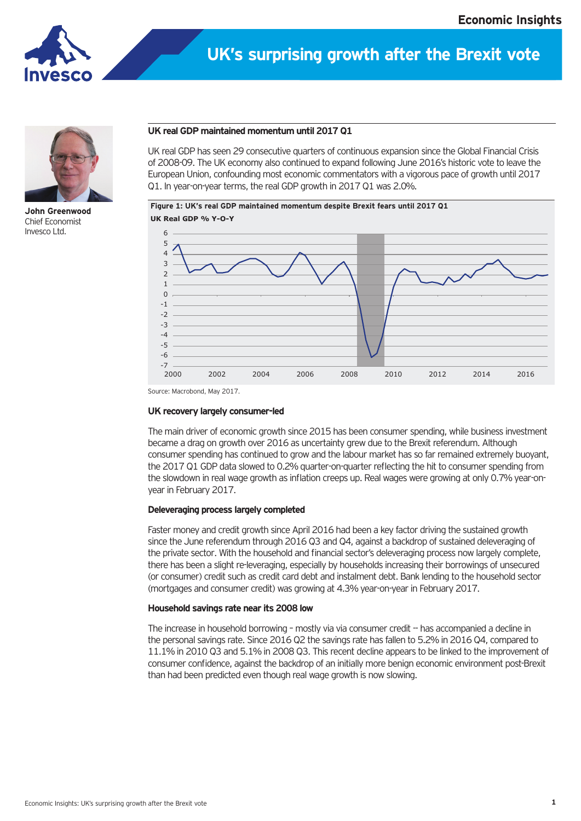

# **UK's surprising growth after the Brexit vote**



**John Greenwood** Chief Economist Invesco Ltd.

### **UK real GDP maintained momentum until 2017 Q1**

UK real GDP has seen 29 consecutive quarters of continuous expansion since the Global Financial Crisis of 2008-09. The UK economy also continued to expand following June 2016's historic vote to leave the European Union, confounding most economic commentators with a vigorous pace of growth until 2017 Q1. In year-on-year terms, the real GDP growth in 2017 Q1 was 2.0%.

**Figure 1: UK's real GDP maintained momentum despite Brexit fears until 2017 Q1 UK Real GDP % Y-O-Y**



Source: Macrobond, May 2017.

## **UK recovery largely consumer-led**

The main driver of economic growth since 2015 has been consumer spending, while business investment became a drag on growth over 2016 as uncertainty grew due to the Brexit referendum. Although consumer spending has continued to grow and the labour market has so far remained extremely buoyant, the 2017 Q1 GDP data slowed to 0.2% quarter-on-quarter reflecting the hit to consumer spending from the slowdown in real wage growth as inflation creeps up. Real wages were growing at only 0.7% year-onyear in February 2017.

## **Deleveraging process largely completed**

Faster money and credit growth since April 2016 had been a key factor driving the sustained growth since the June referendum through 2016 Q3 and Q4, against a backdrop of sustained deleveraging of the private sector. With the household and financial sector's deleveraging process now largely complete, there has been a slight re-leveraging, especially by households increasing their borrowings of unsecured (or consumer) credit such as credit card debt and instalment debt. Bank lending to the household sector (mortgages and consumer credit) was growing at 4.3% year-on-year in February 2017.

### **Household savings rate near its 2008 low**

The increase in household borrowing - mostly via via consumer credit -- has accompanied a decline in the personal savings rate. Since 2016 Q2 the savings rate has fallen to 5.2% in 2016 Q4, compared to 11.1% in 2010 Q3 and 5.1% in 2008 Q3. This recent decline appears to be linked to the improvement of consumer confidence, against the backdrop of an initially more benign economic environment post-Brexit than had been predicted even though real wage growth is now slowing.